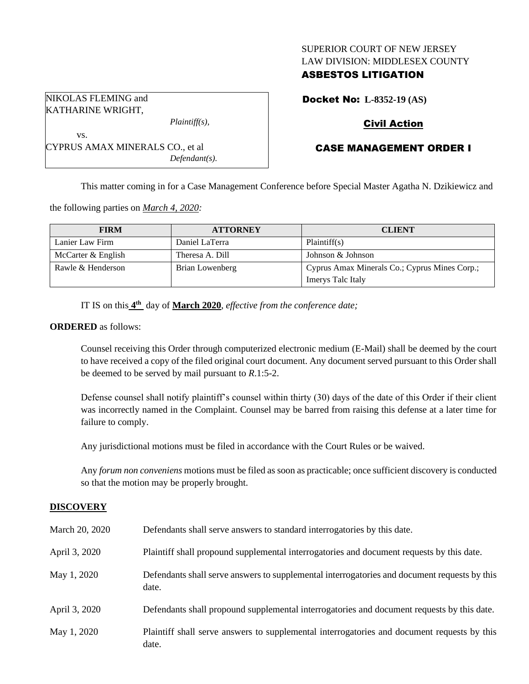### SUPERIOR COURT OF NEW JERSEY LAW DIVISION: MIDDLESEX COUNTY

## ASBESTOS LITIGATION

NIKOLAS FLEMING and KATHARINE WRIGHT,

*Plaintiff(s),*

CYPRUS AMAX MINERALS CO., et al *Defendant(s).* Docket No: **L-8352-19 (AS)**

## Civil Action

# CASE MANAGEMENT ORDER I

This matter coming in for a Case Management Conference before Special Master Agatha N. Dzikiewicz and

the following parties on *March 4, 2020:*

| <b>FIRM</b>        | <b>ATTORNEY</b> | <b>CLIENT</b>                                 |
|--------------------|-----------------|-----------------------------------------------|
| Lanier Law Firm    | Daniel LaTerra  | Plaintiff(s)                                  |
| McCarter & English | Theresa A. Dill | Johnson & Johnson                             |
| Rawle & Henderson  | Brian Lowenberg | Cyprus Amax Minerals Co.; Cyprus Mines Corp.; |
|                    |                 | Imerys Talc Italy                             |

IT IS on this  $4^{\text{th}}$  day of **March 2020**, *effective from the conference date*;

#### **ORDERED** as follows:

vs.

Counsel receiving this Order through computerized electronic medium (E-Mail) shall be deemed by the court to have received a copy of the filed original court document. Any document served pursuant to this Order shall be deemed to be served by mail pursuant to *R*.1:5-2.

Defense counsel shall notify plaintiff's counsel within thirty (30) days of the date of this Order if their client was incorrectly named in the Complaint. Counsel may be barred from raising this defense at a later time for failure to comply.

Any jurisdictional motions must be filed in accordance with the Court Rules or be waived.

Any *forum non conveniens* motions must be filed as soon as practicable; once sufficient discovery is conducted so that the motion may be properly brought.

### **DISCOVERY**

| March 20, 2020 | Defendants shall serve answers to standard interrogatories by this date.                              |
|----------------|-------------------------------------------------------------------------------------------------------|
| April 3, 2020  | Plaintiff shall propound supplemental interrogatories and document requests by this date.             |
| May 1, 2020    | Defendants shall serve answers to supplemental interrogatories and document requests by this<br>date. |
| April 3, 2020  | Defendants shall propound supplemental interrogatories and document requests by this date.            |
| May 1, 2020    | Plaintiff shall serve answers to supplemental interrogatories and document requests by this<br>date.  |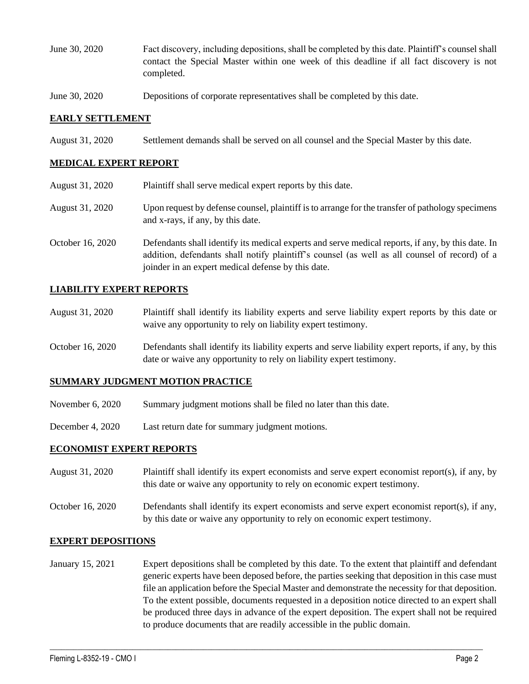- June 30, 2020 Fact discovery, including depositions, shall be completed by this date. Plaintiff's counsel shall contact the Special Master within one week of this deadline if all fact discovery is not completed.
- June 30, 2020 Depositions of corporate representatives shall be completed by this date.

#### **EARLY SETTLEMENT**

August 31, 2020 Settlement demands shall be served on all counsel and the Special Master by this date.

#### **MEDICAL EXPERT REPORT**

August 31, 2020 Plaintiff shall serve medical expert reports by this date. August 31, 2020 Upon request by defense counsel, plaintiff is to arrange for the transfer of pathology specimens and x-rays, if any, by this date. October 16, 2020 Defendants shall identify its medical experts and serve medical reports, if any, by this date. In addition, defendants shall notify plaintiff's counsel (as well as all counsel of record) of a joinder in an expert medical defense by this date.

#### **LIABILITY EXPERT REPORTS**

- August 31, 2020 Plaintiff shall identify its liability experts and serve liability expert reports by this date or waive any opportunity to rely on liability expert testimony.
- October 16, 2020 Defendants shall identify its liability experts and serve liability expert reports, if any, by this date or waive any opportunity to rely on liability expert testimony.

#### **SUMMARY JUDGMENT MOTION PRACTICE**

- November 6, 2020 Summary judgment motions shall be filed no later than this date.
- December 4, 2020 Last return date for summary judgment motions.

#### **ECONOMIST EXPERT REPORTS**

- August 31, 2020 Plaintiff shall identify its expert economists and serve expert economist report(s), if any, by this date or waive any opportunity to rely on economic expert testimony.
- October 16, 2020 Defendants shall identify its expert economists and serve expert economist report(s), if any, by this date or waive any opportunity to rely on economic expert testimony.

#### **EXPERT DEPOSITIONS**

January 15, 2021 Expert depositions shall be completed by this date. To the extent that plaintiff and defendant generic experts have been deposed before, the parties seeking that deposition in this case must file an application before the Special Master and demonstrate the necessity for that deposition. To the extent possible, documents requested in a deposition notice directed to an expert shall be produced three days in advance of the expert deposition. The expert shall not be required to produce documents that are readily accessible in the public domain.

 $\_$  , and the set of the set of the set of the set of the set of the set of the set of the set of the set of the set of the set of the set of the set of the set of the set of the set of the set of the set of the set of th